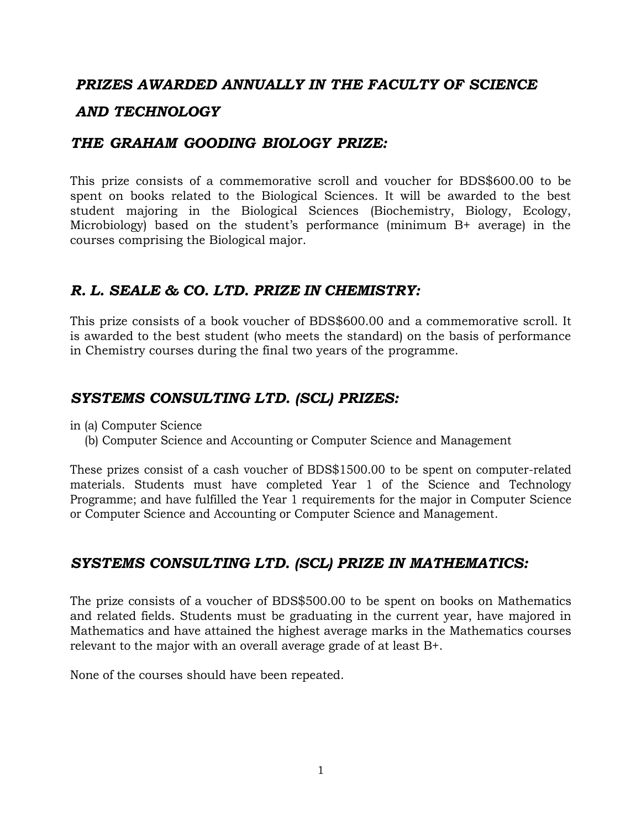### *PRIZES AWARDED ANNUALLY IN THE FACULTY OF SCIENCE*

### *AND TECHNOLOGY*

## *THE GRAHAM GOODING BIOLOGY PRIZE:*

This prize consists of a commemorative scroll and voucher for BDS\$600.00 to be spent on books related to the Biological Sciences. It will be awarded to the best student majoring in the Biological Sciences (Biochemistry, Biology, Ecology, Microbiology) based on the student's performance (minimum B+ average) in the courses comprising the Biological major.

## *R. L. SEALE & CO. LTD. PRIZE IN CHEMISTRY:*

This prize consists of a book voucher of BDS\$600.00 and a commemorative scroll. It is awarded to the best student (who meets the standard) on the basis of performance in Chemistry courses during the final two years of the programme.

## *SYSTEMS CONSULTING LTD. (SCL) PRIZES:*

in (a) Computer Science

(b) Computer Science and Accounting or Computer Science and Management

These prizes consist of a cash voucher of BDS\$1500.00 to be spent on computer-related materials. Students must have completed Year 1 of the Science and Technology Programme; and have fulfilled the Year 1 requirements for the major in Computer Science or Computer Science and Accounting or Computer Science and Management.

## *SYSTEMS CONSULTING LTD. (SCL) PRIZE IN MATHEMATICS:*

The prize consists of a voucher of BDS\$500.00 to be spent on books on Mathematics and related fields. Students must be graduating in the current year, have majored in Mathematics and have attained the highest average marks in the Mathematics courses relevant to the major with an overall average grade of at least B+.

None of the courses should have been repeated.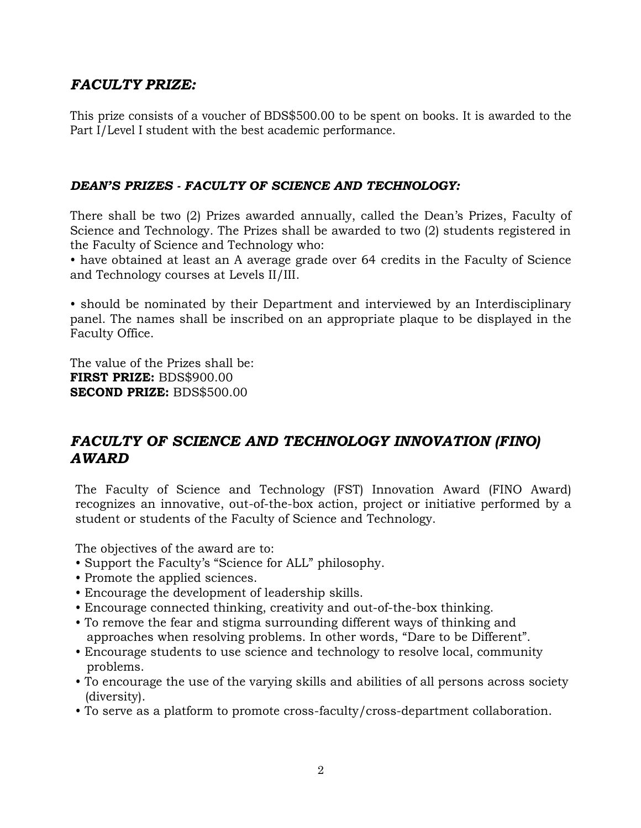# *FACULTY PRIZE:*

This prize consists of a voucher of BDS\$500.00 to be spent on books. It is awarded to the Part I/Level I student with the best academic performance.

### *DEAN'S PRIZES - FACULTY OF SCIENCE AND TECHNOLOGY:*

There shall be two (2) Prizes awarded annually, called the Dean's Prizes, Faculty of Science and Technology. The Prizes shall be awarded to two (2) students registered in the Faculty of Science and Technology who:

• have obtained at least an A average grade over 64 credits in the Faculty of Science and Technology courses at Levels II/III.

• should be nominated by their Department and interviewed by an Interdisciplinary panel. The names shall be inscribed on an appropriate plaque to be displayed in the Faculty Office.

The value of the Prizes shall be: **FIRST PRIZE:** BDS\$900.00 **SECOND PRIZE:** BDS\$500.00

# *FACULTY OF SCIENCE AND TECHNOLOGY INNOVATION (FINO) AWARD*

The Faculty of Science and Technology (FST) Innovation Award (FINO Award) recognizes an innovative, out-of-the-box action, project or initiative performed by a student or students of the Faculty of Science and Technology.

The objectives of the award are to:

- Support the Faculty's "Science for ALL" philosophy.
- Promote the applied sciences.
- Encourage the development of leadership skills.
- Encourage connected thinking, creativity and out-of-the-box thinking.
- To remove the fear and stigma surrounding different ways of thinking and approaches when resolving problems. In other words, "Dare to be Different".
- Encourage students to use science and technology to resolve local, community problems.
- To encourage the use of the varying skills and abilities of all persons across society (diversity).
- To serve as a platform to promote cross-faculty/cross-department collaboration.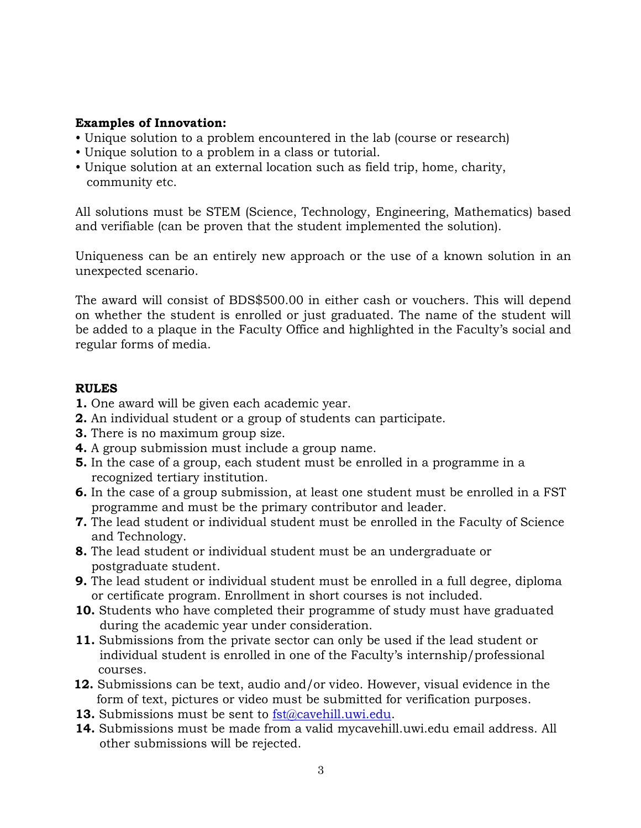#### **Examples of Innovation:**

- Unique solution to a problem encountered in the lab (course or research)
- Unique solution to a problem in a class or tutorial.
- Unique solution at an external location such as field trip, home, charity, community etc.

All solutions must be STEM (Science, Technology, Engineering, Mathematics) based and verifiable (can be proven that the student implemented the solution).

Uniqueness can be an entirely new approach or the use of a known solution in an unexpected scenario.

The award will consist of BDS\$500.00 in either cash or vouchers. This will depend on whether the student is enrolled or just graduated. The name of the student will be added to a plaque in the Faculty Office and highlighted in the Faculty's social and regular forms of media.

#### **RULES**

- **1.** One award will be given each academic year.
- **2.** An individual student or a group of students can participate.
- **3.** There is no maximum group size.
- **4.** A group submission must include a group name.
- **5.** In the case of a group, each student must be enrolled in a programme in a recognized tertiary institution.
- **6.** In the case of a group submission, at least one student must be enrolled in a FST programme and must be the primary contributor and leader.
- **7.** The lead student or individual student must be enrolled in the Faculty of Science and Technology.
- **8.** The lead student or individual student must be an undergraduate or postgraduate student.
- **9.** The lead student or individual student must be enrolled in a full degree, diploma or certificate program. Enrollment in short courses is not included.
- **10.** Students who have completed their programme of study must have graduated during the academic year under consideration.
- **11.** Submissions from the private sector can only be used if the lead student or individual student is enrolled in one of the Faculty's internship/professional courses.
- **12.** Submissions can be text, audio and/or video. However, visual evidence in the form of text, pictures or video must be submitted for verification purposes.
- **13.** Submissions must be sent to [fst@cavehill.uwi.edu.](mailto:fst@cavehill.uwi.edu)
- **14.** Submissions must be made from a valid mycavehill.uwi.edu email address. All other submissions will be rejected.